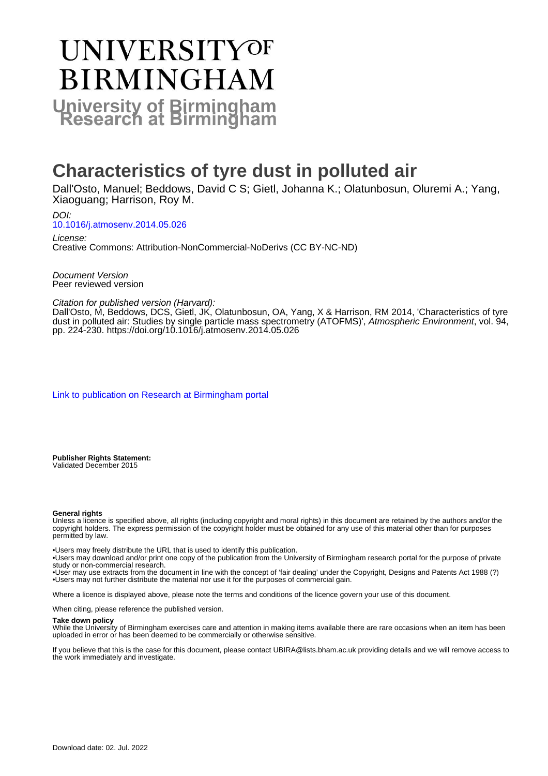# UNIVERSITYOF **BIRMINGHAM University of Birmingham**

# **Characteristics of tyre dust in polluted air**

Dall'Osto, Manuel; Beddows, David C S; Gietl, Johanna K.; Olatunbosun, Oluremi A.; Yang, Xiaoguang; Harrison, Roy M.

DOI: [10.1016/j.atmosenv.2014.05.026](https://doi.org/10.1016/j.atmosenv.2014.05.026)

License: Creative Commons: Attribution-NonCommercial-NoDerivs (CC BY-NC-ND)

Document Version Peer reviewed version

Citation for published version (Harvard):

Dall'Osto, M, Beddows, DCS, Gietl, JK, Olatunbosun, OA, Yang, X & Harrison, RM 2014, 'Characteristics of tyre dust in polluted air: Studies by single particle mass spectrometry (ATOFMS)', Atmospheric Environment, vol. 94, pp. 224-230. <https://doi.org/10.1016/j.atmosenv.2014.05.026>

[Link to publication on Research at Birmingham portal](https://birmingham.elsevierpure.com/en/publications/4e547d37-ced2-43b9-a7ab-2d3293dafcab)

**Publisher Rights Statement:** Validated December 2015

#### **General rights**

Unless a licence is specified above, all rights (including copyright and moral rights) in this document are retained by the authors and/or the copyright holders. The express permission of the copyright holder must be obtained for any use of this material other than for purposes permitted by law.

• Users may freely distribute the URL that is used to identify this publication.

• Users may download and/or print one copy of the publication from the University of Birmingham research portal for the purpose of private study or non-commercial research.

• User may use extracts from the document in line with the concept of 'fair dealing' under the Copyright, Designs and Patents Act 1988 (?) • Users may not further distribute the material nor use it for the purposes of commercial gain.

Where a licence is displayed above, please note the terms and conditions of the licence govern your use of this document.

When citing, please reference the published version.

#### **Take down policy**

While the University of Birmingham exercises care and attention in making items available there are rare occasions when an item has been uploaded in error or has been deemed to be commercially or otherwise sensitive.

If you believe that this is the case for this document, please contact UBIRA@lists.bham.ac.uk providing details and we will remove access to the work immediately and investigate.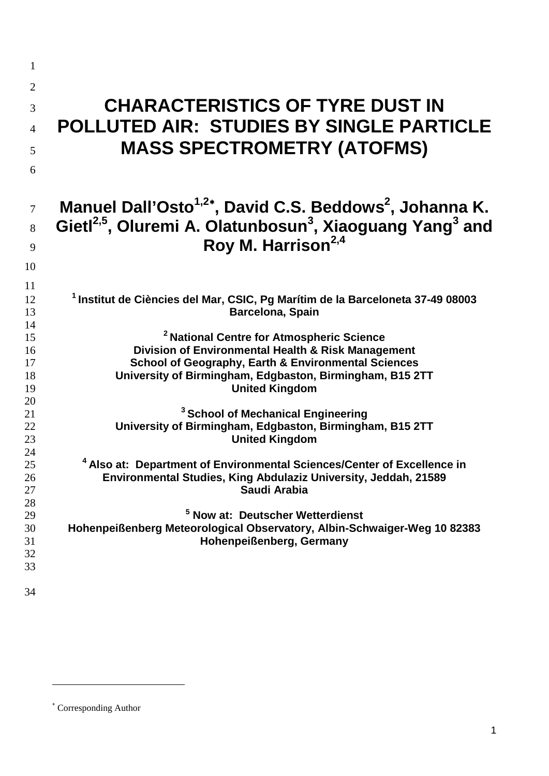| 1<br>$\overline{2}$<br>3<br>$\overline{4}$<br>5<br>6 | <b>CHARACTERISTICS OF TYRE DUST IN</b><br>POLLUTED AIR: STUDIES BY SINGLE PARTICLE<br><b>MASS SPECTROMETRY (ATOFMS)</b>                                                                                                                                           |
|------------------------------------------------------|-------------------------------------------------------------------------------------------------------------------------------------------------------------------------------------------------------------------------------------------------------------------|
| $\overline{7}$<br>8<br>9<br>10                       | Manuel Dall'Osto <sup>1,2*</sup> , David C.S. Beddows <sup>2</sup> , Johanna K.<br>Gietl <sup>2,5</sup> , Oluremi A. Olatunbosun <sup>3</sup> , Xiaoguang Yang <sup>3</sup> and<br>Roy M. Harrison <sup>2,4</sup>                                                 |
| 11<br>12<br>13                                       | <sup>1</sup> Institut de Ciències del Mar, CSIC, Pg Marítim de la Barceloneta 37-49 08003<br><b>Barcelona, Spain</b>                                                                                                                                              |
| 14<br>15<br>16<br>17<br>18<br>19<br>20               | <sup>2</sup> National Centre for Atmospheric Science<br>Division of Environmental Health & Risk Management<br><b>School of Geography, Earth &amp; Environmental Sciences</b><br>University of Birmingham, Edgbaston, Birmingham, B15 2TT<br><b>United Kingdom</b> |
| 21<br>22<br>23                                       | <sup>3</sup> School of Mechanical Engineering<br>University of Birmingham, Edgbaston, Birmingham, B15 2TT<br><b>United Kingdom</b>                                                                                                                                |
| 24<br>25<br>26<br>27                                 | <sup>4</sup> Also at: Department of Environmental Sciences/Center of Excellence in<br>Environmental Studies, King Abdulaziz University, Jeddah, 21589<br>Saudi Arabia                                                                                             |
| 28<br>29<br>30<br>31<br>32<br>33<br>34               | <sup>5</sup> Now at: Deutscher Wetterdienst<br>Hohenpeißenberg Meteorological Observatory, Albin-Schwaiger-Weg 10 82383<br>Hohenpeißenberg, Germany                                                                                                               |
|                                                      |                                                                                                                                                                                                                                                                   |

-

<span id="page-1-0"></span><sup>∗</sup> Corresponding Author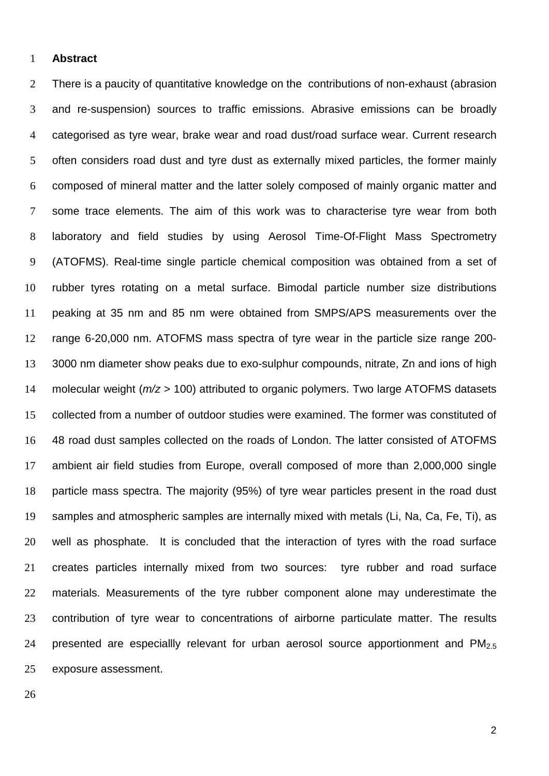#### **Abstract**

 There is a paucity of quantitative knowledge on the contributions of non-exhaust (abrasion and re-suspension) sources to traffic emissions. Abrasive emissions can be broadly categorised as tyre wear, brake wear and road dust/road surface wear. Current research often considers road dust and tyre dust as externally mixed particles, the former mainly composed of mineral matter and the latter solely composed of mainly organic matter and some trace elements. The aim of this work was to characterise tyre wear from both laboratory and field studies by using Aerosol Time-Of-Flight Mass Spectrometry (ATOFMS). Real-time single particle chemical composition was obtained from a set of rubber tyres rotating on a metal surface. Bimodal particle number size distributions peaking at 35 nm and 85 nm were obtained from SMPS/APS measurements over the range 6-20,000 nm. ATOFMS mass spectra of tyre wear in the particle size range 200- 3000 nm diameter show peaks due to exo-sulphur compounds, nitrate, Zn and ions of high molecular weight (*m/z* > 100) attributed to organic polymers. Two large ATOFMS datasets collected from a number of outdoor studies were examined. The former was constituted of 48 road dust samples collected on the roads of London. The latter consisted of ATOFMS ambient air field studies from Europe, overall composed of more than 2,000,000 single particle mass spectra. The majority (95%) of tyre wear particles present in the road dust samples and atmospheric samples are internally mixed with metals (Li, Na, Ca, Fe, Ti), as well as phosphate. It is concluded that the interaction of tyres with the road surface creates particles internally mixed from two sources: tyre rubber and road surface materials. Measurements of the tyre rubber component alone may underestimate the contribution of tyre wear to concentrations of airborne particulate matter. The results 24 presented are especiallly relevant for urban aerosol source apportionment and  $PM<sub>2.5</sub>$ exposure assessment.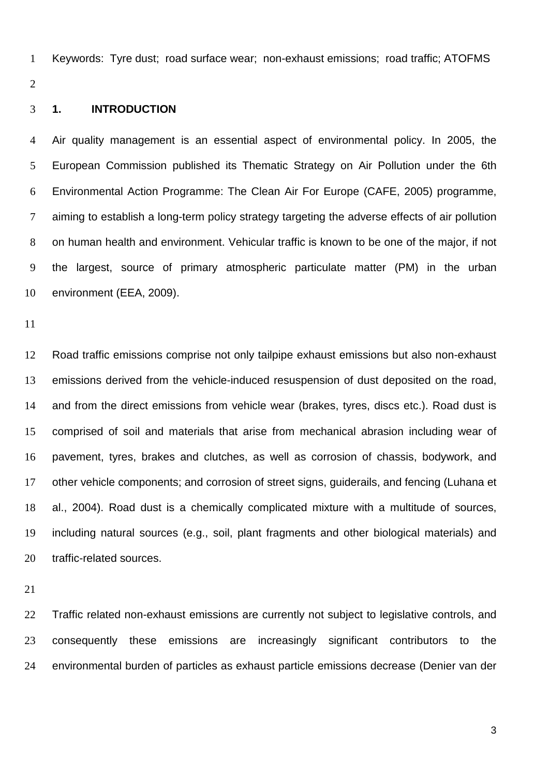Keywords: Tyre dust; road surface wear; non-exhaust emissions; road traffic; ATOFMS

#### **1. INTRODUCTION**

 Air quality management is an essential aspect of environmental policy. In 2005, the European Commission published its Thematic Strategy on Air Pollution under the 6th Environmental Action Programme: The Clean Air For Europe (CAFE, 2005) programme, aiming to establish a long-term policy strategy targeting the adverse effects of air pollution on human health and environment. Vehicular traffic is known to be one of the major, if not the largest, source of primary atmospheric particulate matter (PM) in the urban environment (EEA, 2009).

 Road traffic emissions comprise not only tailpipe exhaust emissions but also non-exhaust emissions derived from the vehicle-induced resuspension of dust deposited on the road, and from the direct emissions from vehicle wear (brakes, tyres, discs etc.). Road dust is comprised of soil and materials that arise from mechanical abrasion including wear of pavement, tyres, brakes and clutches, as well as corrosion of chassis, bodywork, and other vehicle components; and corrosion of street signs, guiderails, and fencing (Luhana et al., 2004). Road dust is a chemically complicated mixture with a multitude of sources, including natural sources (e.g., soil, plant fragments and other biological materials) and traffic-related sources.

22 Traffic related non-exhaust emissions are currently not subject to legislative controls, and 23 consequently these emissions are increasingly significant contributors to the environmental burden of particles as exhaust particle emissions decrease (Denier van der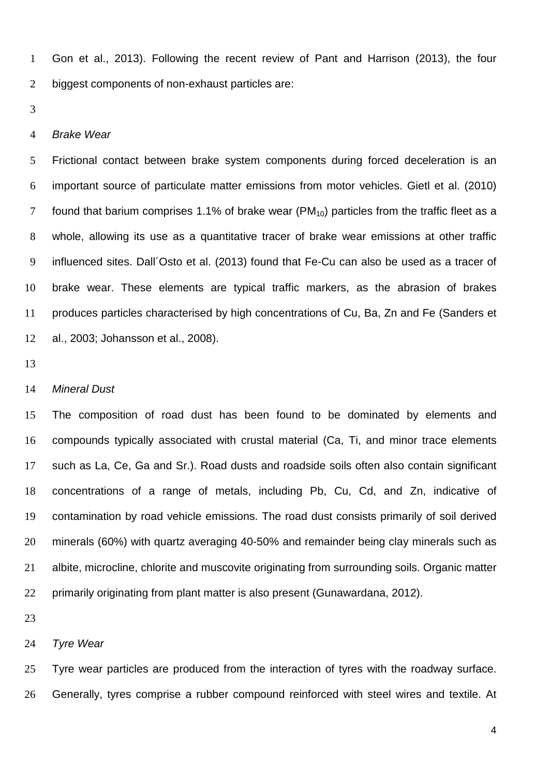Gon et al., 2013). Following the recent review of Pant and Harrison (2013), the four biggest components of non-exhaust particles are:

#### *Brake Wear*

 Frictional contact between brake system components during forced deceleration is an important source of particulate matter emissions from motor vehicles. Gietl et al. (2010) 7 found that barium comprises 1.1% of brake wear ( $PM_{10}$ ) particles from the traffic fleet as a whole, allowing its use as a quantitative tracer of brake wear emissions at other traffic influenced sites. Dall´Osto et al. (2013) found that Fe-Cu can also be used as a tracer of brake wear. These elements are typical traffic markers, as the abrasion of brakes produces particles characterised by high concentrations of Cu, Ba, Zn and Fe (Sanders et al., 2003; Johansson et al., 2008).

#### *Mineral Dust*

 The composition of road dust has been found to be dominated by elements and compounds typically associated with crustal material (Ca, Ti, and minor trace elements such as La, Ce, Ga and Sr.). Road dusts and roadside soils often also contain significant concentrations of a range of metals, including Pb, Cu, Cd, and Zn, indicative of contamination by road vehicle emissions. The road dust consists primarily of soil derived minerals (60%) with quartz averaging 40-50% and remainder being clay minerals such as albite, microcline, chlorite and muscovite originating from surrounding soils. Organic matter primarily originating from plant matter is also present (Gunawardana, 2012).

#### *Tyre Wear*

 Tyre wear particles are produced from the interaction of tyres with the roadway surface. Generally, tyres comprise a rubber compound reinforced with steel wires and textile. At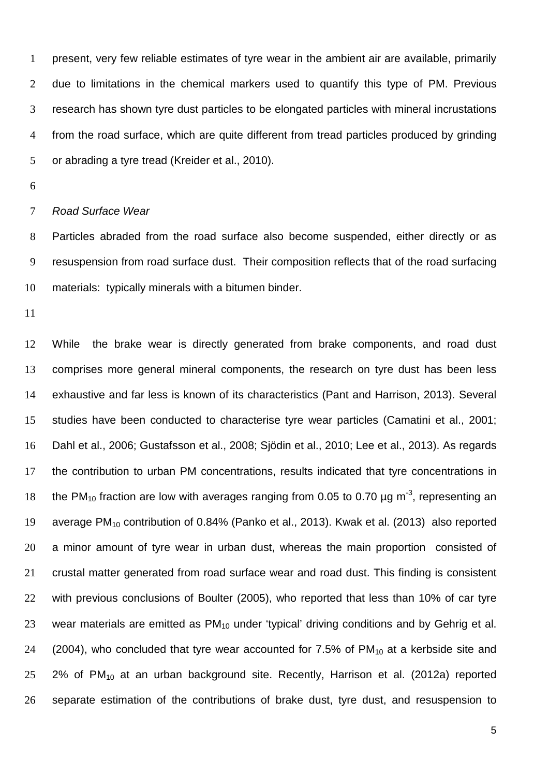present, very few reliable estimates of tyre wear in the ambient air are available, primarily due to limitations in the chemical markers used to quantify this type of PM. Previous research has shown tyre dust particles to be elongated particles with mineral incrustations from the road surface, which are quite different from tread particles produced by grinding or abrading a tyre tread (Kreider et al., 2010).

#### *Road Surface Wear*

 Particles abraded from the road surface also become suspended, either directly or as resuspension from road surface dust. Their composition reflects that of the road surfacing materials: typically minerals with a bitumen binder.

 While the brake wear is directly generated from brake components, and road dust comprises more general mineral components, the research on tyre dust has been less exhaustive and far less is known of its characteristics (Pant and Harrison, 2013). Several studies have been conducted to characterise tyre wear particles (Camatini et al., 2001; Dahl et al., 2006; Gustafsson et al., 2008; Sjödin et al., 2010; Lee et al., 2013). As regards the contribution to urban PM concentrations, results indicated that tyre concentrations in 18 the PM<sub>10</sub> fraction are low with averages ranging from 0.05 to 0.70  $\mu$ g m<sup>-3</sup>, representing an 19 average PM<sub>10</sub> contribution of 0.84% (Panko et al., 2013). Kwak et al. (2013) also reported a minor amount of tyre wear in urban dust, whereas the main proportion consisted of crustal matter generated from road surface wear and road dust. This finding is consistent with previous conclusions of Boulter (2005), who reported that less than 10% of car tyre 23 wear materials are emitted as  $PM_{10}$  under 'typical' driving conditions and by Gehrig et al. 24 (2004), who concluded that tyre wear accounted for 7.5% of  $PM_{10}$  at a kerbside site and 2% of PM<sub>10</sub> at an urban background site. Recently, Harrison et al. (2012a) reported separate estimation of the contributions of brake dust, tyre dust, and resuspension to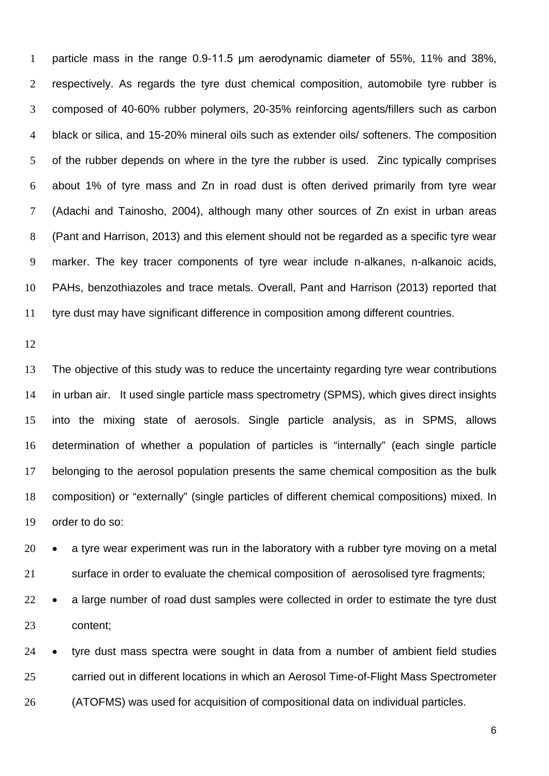particle mass in the range 0.9-11.5 μm aerodynamic diameter of 55%, 11% and 38%, respectively. As regards the tyre dust chemical composition, automobile tyre rubber is composed of 40-60% rubber polymers, 20-35% reinforcing agents/fillers such as carbon black or silica, and 15-20% mineral oils such as extender oils/ softeners. The composition of the rubber depends on where in the tyre the rubber is used. Zinc typically comprises about 1% of tyre mass and Zn in road dust is often derived primarily from tyre wear (Adachi and Tainosho, 2004), although many other sources of Zn exist in urban areas (Pant and Harrison, 2013) and this element should not be regarded as a specific tyre wear marker. The key tracer components of tyre wear include n-alkanes, n-alkanoic acids, PAHs, benzothiazoles and trace metals. Overall, Pant and Harrison (2013) reported that tyre dust may have significant difference in composition among different countries.

 The objective of this study was to reduce the uncertainty regarding tyre wear contributions in urban air. It used single particle mass spectrometry (SPMS), which gives direct insights into the mixing state of aerosols. Single particle analysis, as in SPMS, allows determination of whether a population of particles is "internally" (each single particle belonging to the aerosol population presents the same chemical composition as the bulk composition) or "externally" (single particles of different chemical compositions) mixed. In order to do so:

 • a tyre wear experiment was run in the laboratory with a rubber tyre moving on a metal surface in order to evaluate the chemical composition of aerosolised tyre fragments;

22 • a large number of road dust samples were collected in order to estimate the tyre dust content;

 • tyre dust mass spectra were sought in data from a number of ambient field studies carried out in different locations in which an Aerosol Time-of-Flight Mass Spectrometer (ATOFMS) was used for acquisition of compositional data on individual particles.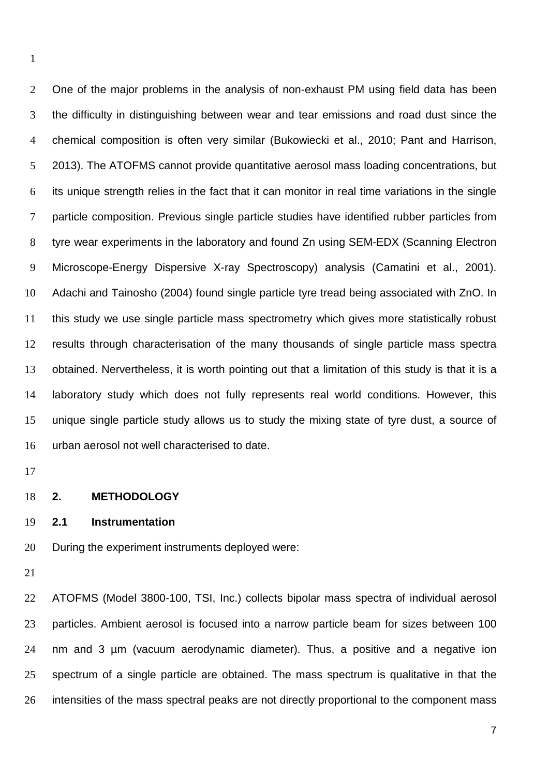2 One of the major problems in the analysis of non-exhaust PM using field data has been the difficulty in distinguishing between wear and tear emissions and road dust since the chemical composition is often very similar (Bukowiecki et al., 2010; Pant and Harrison, 2013). The ATOFMS cannot provide quantitative aerosol mass loading concentrations, but its unique strength relies in the fact that it can monitor in real time variations in the single particle composition. Previous single particle studies have identified rubber particles from tyre wear experiments in the laboratory and found Zn using SEM-EDX (Scanning Electron Microscope-Energy Dispersive X-ray Spectroscopy) analysis (Camatini et al., 2001). Adachi and Tainosho (2004) found single particle tyre tread being associated with ZnO. In this study we use single particle mass spectrometry which gives more statistically robust results through characterisation of the many thousands of single particle mass spectra obtained. Nervertheless, it is worth pointing out that a limitation of this study is that it is a laboratory study which does not fully represents real world conditions. However, this unique single particle study allows us to study the mixing state of tyre dust, a source of urban aerosol not well characterised to date.

#### **2. METHODOLOGY**

#### **2.1 Instrumentation**

During the experiment instruments deployed were:

 ATOFMS (Model 3800-100, TSI, Inc.) collects bipolar mass spectra of individual aerosol particles. Ambient aerosol is focused into a narrow particle beam for sizes between 100 nm and 3 µm (vacuum aerodynamic diameter). Thus, a positive and a negative ion spectrum of a single particle are obtained. The mass spectrum is qualitative in that the 26 intensities of the mass spectral peaks are not directly proportional to the component mass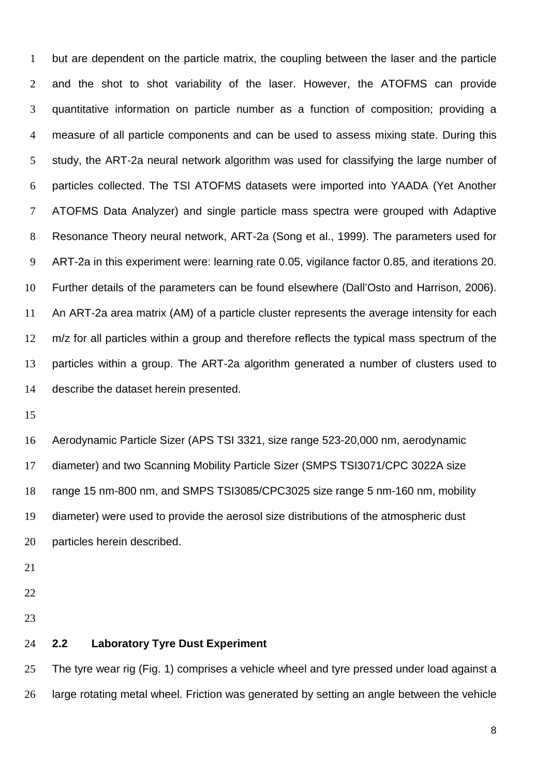but are dependent on the particle matrix, the coupling between the laser and the particle and the shot to shot variability of the laser. However, the ATOFMS can provide quantitative information on particle number as a function of composition; providing a measure of all particle components and can be used to assess mixing state. During this study, the ART-2a neural network algorithm was used for classifying the large number of particles collected. The TSI ATOFMS datasets were imported into YAADA (Yet Another ATOFMS Data Analyzer) and single particle mass spectra were grouped with Adaptive Resonance Theory neural network, ART-2a (Song et al., 1999). The parameters used for ART-2a in this experiment were: learning rate 0.05, vigilance factor 0.85, and iterations 20. Further details of the parameters can be found elsewhere (Dall'Osto and Harrison, 2006). An ART-2a area matrix (AM) of a particle cluster represents the average intensity for each 12 m/z for all particles within a group and therefore reflects the typical mass spectrum of the particles within a group. The ART-2a algorithm generated a number of clusters used to describe the dataset herein presented.

 Aerodynamic Particle Sizer (APS TSI 3321, size range 523-20,000 nm, aerodynamic diameter) and two Scanning Mobility Particle Sizer (SMPS TSI3071/CPC 3022A size range 15 nm-800 nm, and SMPS TSI3085/CPC3025 size range 5 nm-160 nm, mobility diameter) were used to provide the aerosol size distributions of the atmospheric dust particles herein described.

- 
- 
- 

#### **2.2 Laboratory Tyre Dust Experiment**

25 The tyre wear rig (Fig. 1) comprises a vehicle wheel and tyre pressed under load against a large rotating metal wheel. Friction was generated by setting an angle between the vehicle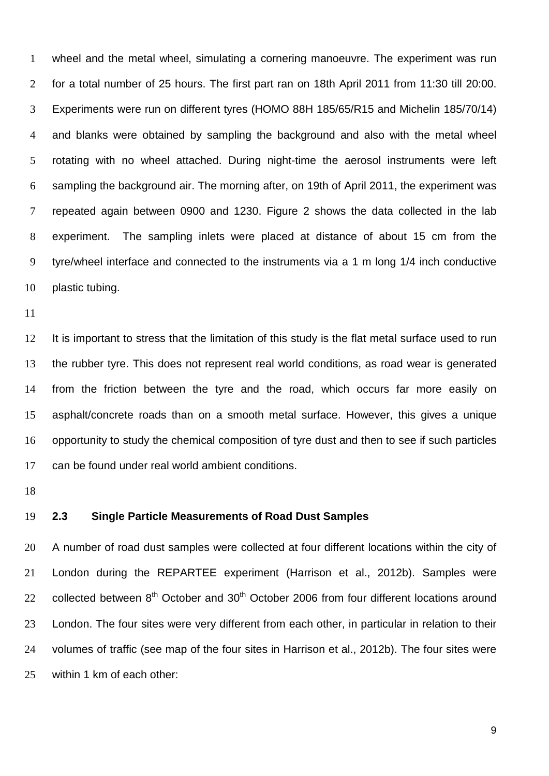wheel and the metal wheel, simulating a cornering manoeuvre. The experiment was run for a total number of 25 hours. The first part ran on 18th April 2011 from 11:30 till 20:00. Experiments were run on different tyres (HOMO 88H 185/65/R15 and Michelin 185/70/14) and blanks were obtained by sampling the background and also with the metal wheel rotating with no wheel attached. During night-time the aerosol instruments were left sampling the background air. The morning after, on 19th of April 2011, the experiment was repeated again between 0900 and 1230. Figure 2 shows the data collected in the lab experiment. The sampling inlets were placed at distance of about 15 cm from the tyre/wheel interface and connected to the instruments via a 1 m long 1/4 inch conductive plastic tubing.

 It is important to stress that the limitation of this study is the flat metal surface used to run the rubber tyre. This does not represent real world conditions, as road wear is generated from the friction between the tyre and the road, which occurs far more easily on asphalt/concrete roads than on a smooth metal surface. However, this gives a unique opportunity to study the chemical composition of tyre dust and then to see if such particles can be found under real world ambient conditions.

#### **2.3 Single Particle Measurements of Road Dust Samples**

20 A number of road dust samples were collected at four different locations within the city of London during the REPARTEE experiment (Harrison et al., 2012b). Samples were collected between  $8<sup>th</sup>$  October and  $30<sup>th</sup>$  October 2006 from four different locations around London. The four sites were very different from each other, in particular in relation to their volumes of traffic (see map of the four sites in Harrison et al., 2012b). The four sites were within 1 km of each other: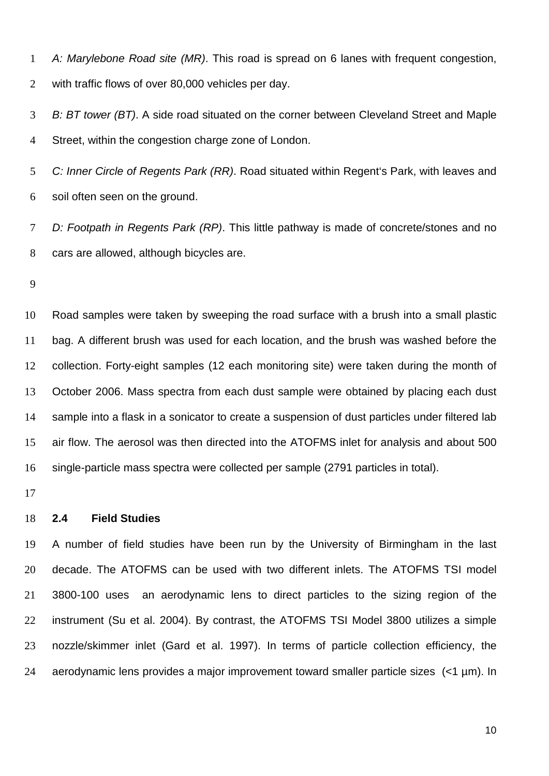*A: Marylebone Road site (MR)*. This road is spread on 6 lanes with frequent congestion, with traffic flows of over 80,000 vehicles per day.

 *B: BT tower (BT)*. A side road situated on the corner between Cleveland Street and Maple Street, within the congestion charge zone of London.

 *C: Inner Circle of Regents Park (RR)*. Road situated within Regent's Park, with leaves and soil often seen on the ground.

 *D: Footpath in Regents Park (RP)*. This little pathway is made of concrete/stones and no cars are allowed, although bicycles are.

 Road samples were taken by sweeping the road surface with a brush into a small plastic bag. A different brush was used for each location, and the brush was washed before the collection. Forty-eight samples (12 each monitoring site) were taken during the month of October 2006. Mass spectra from each dust sample were obtained by placing each dust sample into a flask in a sonicator to create a suspension of dust particles under filtered lab air flow. The aerosol was then directed into the ATOFMS inlet for analysis and about 500 single-particle mass spectra were collected per sample (2791 particles in total).

#### **2.4 Field Studies**

 A number of field studies have been run by the University of Birmingham in the last 20 decade. The ATOFMS can be used with two different inlets. The ATOFMS TSI model 3800-100 uses an aerodynamic lens to direct particles to the sizing region of the instrument (Su et al. 2004). By contrast, the ATOFMS TSI Model 3800 utilizes a simple nozzle/skimmer inlet (Gard et al. 1997). In terms of particle collection efficiency, the aerodynamic lens provides a major improvement toward smaller particle sizes (<1 µm). In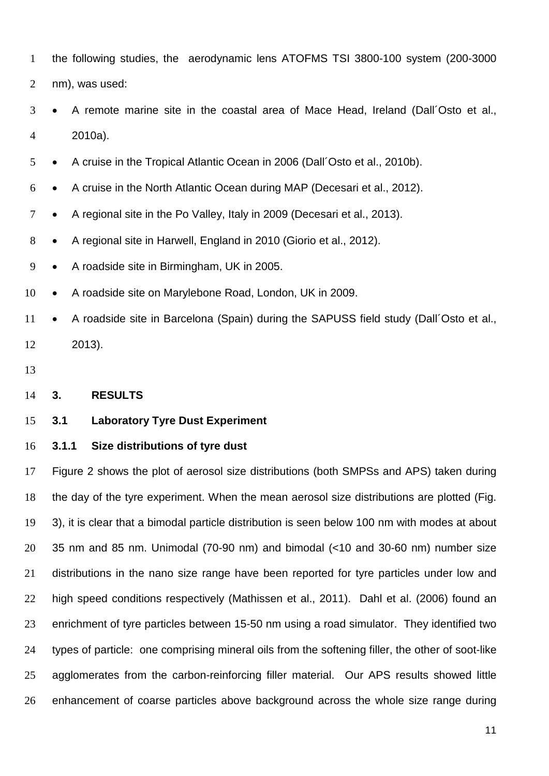the following studies, the aerodynamic lens ATOFMS TSI 3800-100 system (200-3000

nm), was used:

- A remote marine site in the coastal area of Mace Head, Ireland (Dall´Osto et al., 2010a).
- A cruise in the Tropical Atlantic Ocean in 2006 (Dall´Osto et al., 2010b).
- A cruise in the North Atlantic Ocean during MAP (Decesari et al., 2012).
- 7 A regional site in the Po Valley, Italy in 2009 (Decesari et al., 2013).
- 8 A regional site in Harwell, England in 2010 (Giorio et al., 2012).
- A roadside site in Birmingham, UK in 2005.
- 10 A roadside site on Marylebone Road, London, UK in 2009.
- 11 A roadside site in Barcelona (Spain) during the SAPUSS field study (Dall'Osto et al., 2013).
- 

#### **3. RESULTS**

#### **3.1 Laboratory Tyre Dust Experiment**

#### **3.1.1 Size distributions of tyre dust**

 Figure 2 shows the plot of aerosol size distributions (both SMPSs and APS) taken during the day of the tyre experiment. When the mean aerosol size distributions are plotted (Fig. 3), it is clear that a bimodal particle distribution is seen below 100 nm with modes at about 35 nm and 85 nm. Unimodal (70-90 nm) and bimodal (<10 and 30-60 nm) number size distributions in the nano size range have been reported for tyre particles under low and high speed conditions respectively (Mathissen et al., 2011). Dahl et al. (2006) found an enrichment of tyre particles between 15-50 nm using a road simulator. They identified two types of particle: one comprising mineral oils from the softening filler, the other of soot-like agglomerates from the carbon-reinforcing filler material. Our APS results showed little enhancement of coarse particles above background across the whole size range during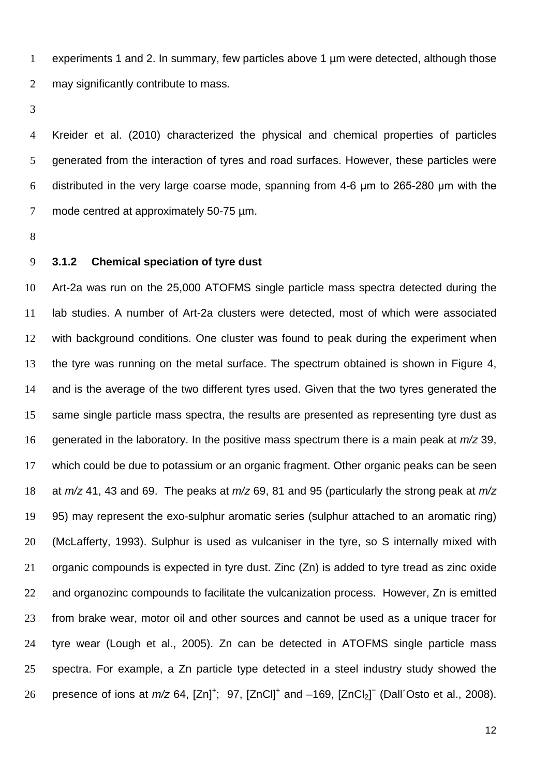experiments 1 and 2. In summary, few particles above 1 µm were detected, although those may significantly contribute to mass.

 Kreider et al. (2010) characterized the physical and chemical properties of particles generated from the interaction of tyres and road surfaces. However, these particles were distributed in the very large coarse mode, spanning from 4-6 μm to 265-280 μm with the 7 mode centred at approximately 50-75  $\mu$ m.

#### **3.1.2 Chemical speciation of tyre dust**

 Art-2a was run on the 25,000 ATOFMS single particle mass spectra detected during the lab studies. A number of Art-2a clusters were detected, most of which were associated with background conditions. One cluster was found to peak during the experiment when the tyre was running on the metal surface. The spectrum obtained is shown in Figure 4, and is the average of the two different tyres used. Given that the two tyres generated the same single particle mass spectra, the results are presented as representing tyre dust as generated in the laboratory. In the positive mass spectrum there is a main peak at *m/z* 39, which could be due to potassium or an organic fragment. Other organic peaks can be seen at *m/z* 41, 43 and 69. The peaks at *m/z* 69, 81 and 95 (particularly the strong peak at *m/z* 95) may represent the exo-sulphur aromatic series (sulphur attached to an aromatic ring) (McLafferty, 1993). Sulphur is used as vulcaniser in the tyre, so S internally mixed with organic compounds is expected in tyre dust. Zinc (Zn) is added to tyre tread as zinc oxide 22 and organozinc compounds to facilitate the vulcanization process. However, Zn is emitted from brake wear, motor oil and other sources and cannot be used as a unique tracer for tyre wear (Lough et al., 2005). Zn can be detected in ATOFMS single particle mass spectra. For example, a Zn particle type detected in a steel industry study showed the 26 presence of ions at  $m/z$  64,  $[Zn]^+$ ; 97,  $[ZnCl]^+$  and  $-169$ ,  $[ZnCl_2]^+$  (Dall'Osto et al., 2008).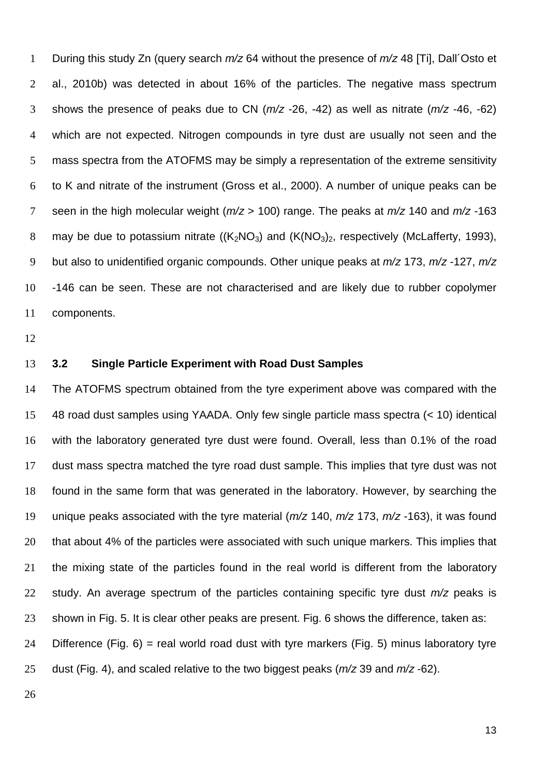During this study Zn (query search *m/z* 64 without the presence of *m/z* 48 [Ti], Dall´Osto et al., 2010b) was detected in about 16% of the particles. The negative mass spectrum shows the presence of peaks due to CN (*m/z* -26, -42) as well as nitrate (*m/z* -46, -62) which are not expected. Nitrogen compounds in tyre dust are usually not seen and the mass spectra from the ATOFMS may be simply a representation of the extreme sensitivity to K and nitrate of the instrument (Gross et al., 2000). A number of unique peaks can be seen in the high molecular weight (*m/z* > 100) range. The peaks at *m/z* 140 and *m/z* -163 8 may be due to potassium nitrate  $((K_2NO_3)$  and  $(K(NO_3)_2,$  respectively (McLafferty, 1993), but also to unidentified organic compounds. Other unique peaks at *m/z* 173, *m/z* -127, *m/z* -146 can be seen. These are not characterised and are likely due to rubber copolymer components.

#### **3.2 Single Particle Experiment with Road Dust Samples**

 The ATOFMS spectrum obtained from the tyre experiment above was compared with the 48 road dust samples using YAADA. Only few single particle mass spectra (< 10) identical with the laboratory generated tyre dust were found. Overall, less than 0.1% of the road dust mass spectra matched the tyre road dust sample. This implies that tyre dust was not found in the same form that was generated in the laboratory. However, by searching the unique peaks associated with the tyre material (*m/z* 140, *m/z* 173, *m/z* -163), it was found 20 that about 4% of the particles were associated with such unique markers. This implies that the mixing state of the particles found in the real world is different from the laboratory study. An average spectrum of the particles containing specific tyre dust *m/z* peaks is shown in Fig. 5. It is clear other peaks are present. Fig. 6 shows the difference, taken as:

24 Difference (Fig. ) = real world road dust with tyre markers (Fig. 5) minus laboratory tyre dust (Fig. 4), and scaled relative to the two biggest peaks (*m/z* 39 and *m/z* -62).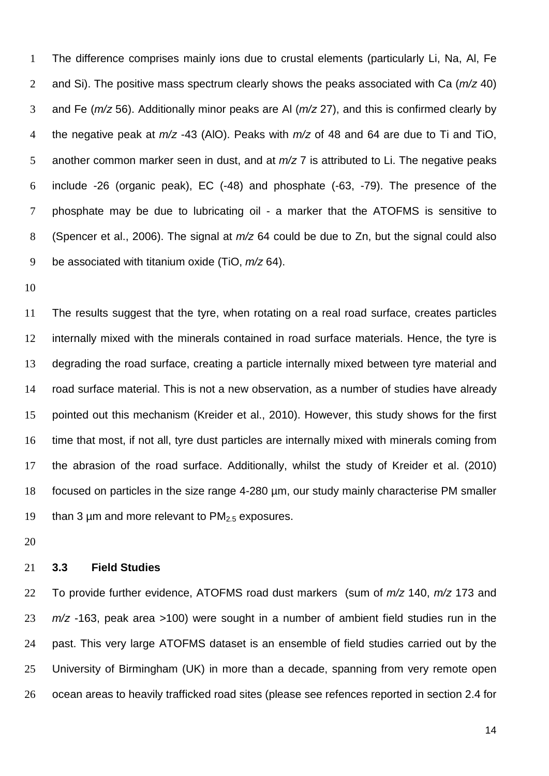The difference comprises mainly ions due to crustal elements (particularly Li, Na, Al, Fe and Si). The positive mass spectrum clearly shows the peaks associated with Ca (*m/z* 40) and Fe (*m/z* 56). Additionally minor peaks are Al (*m/z* 27), and this is confirmed clearly by the negative peak at *m/z* -43 (AlO). Peaks with *m/z* of 48 and 64 are due to Ti and TiO, another common marker seen in dust, and at *m/z* 7 is attributed to Li. The negative peaks include -26 (organic peak), EC (-48) and phosphate (-63, -79). The presence of the phosphate may be due to lubricating oil - a marker that the ATOFMS is sensitive to (Spencer et al., 2006). The signal at *m/z* 64 could be due to Zn, but the signal could also be associated with titanium oxide (TiO, *m/z* 64).

 The results suggest that the tyre, when rotating on a real road surface, creates particles internally mixed with the minerals contained in road surface materials. Hence, the tyre is degrading the road surface, creating a particle internally mixed between tyre material and road surface material. This is not a new observation, as a number of studies have already pointed out this mechanism (Kreider et al., 2010). However, this study shows for the first time that most, if not all, tyre dust particles are internally mixed with minerals coming from the abrasion of the road surface. Additionally, whilst the study of Kreider et al. (2010) focused on particles in the size range 4-280 µm, our study mainly characterise PM smaller 19 than 3  $\mu$ m and more relevant to PM $_{2.5}$  exposures.

#### **3.3 Field Studies**

 To provide further evidence, ATOFMS road dust markers (sum of *m/z* 140, *m/z* 173 and *m/z* -163, peak area >100) were sought in a number of ambient field studies run in the past. This very large ATOFMS dataset is an ensemble of field studies carried out by the University of Birmingham (UK) in more than a decade, spanning from very remote open ocean areas to heavily trafficked road sites (please see refences reported in section 2.4 for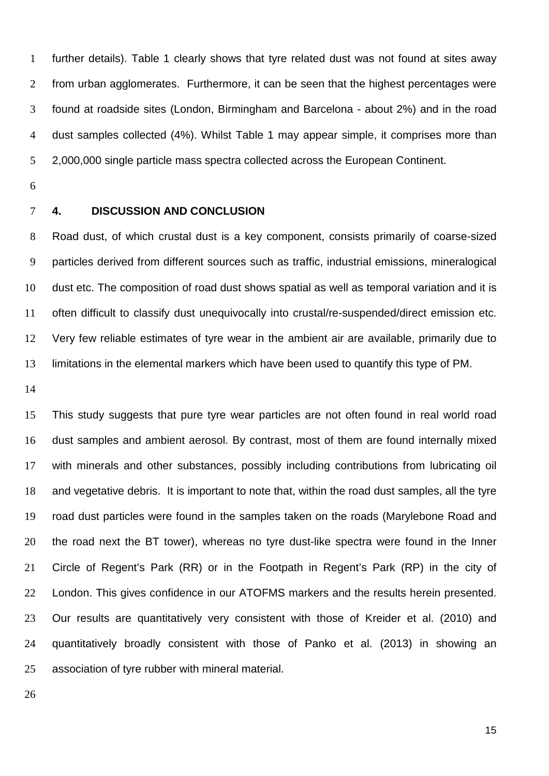further details). Table 1 clearly shows that tyre related dust was not found at sites away from urban agglomerates. Furthermore, it can be seen that the highest percentages were found at roadside sites (London, Birmingham and Barcelona - about 2%) and in the road dust samples collected (4%). Whilst Table 1 may appear simple, it comprises more than 2,000,000 single particle mass spectra collected across the European Continent.

- 
- 

#### **4. DISCUSSION AND CONCLUSION**

 Road dust, of which crustal dust is a key component, consists primarily of coarse-sized particles derived from different sources such as traffic, industrial emissions, mineralogical dust etc. The composition of road dust shows spatial as well as temporal variation and it is often difficult to classify dust unequivocally into crustal/re-suspended/direct emission etc. Very few reliable estimates of tyre wear in the ambient air are available, primarily due to limitations in the elemental markers which have been used to quantify this type of PM.

 This study suggests that pure tyre wear particles are not often found in real world road dust samples and ambient aerosol. By contrast, most of them are found internally mixed with minerals and other substances, possibly including contributions from lubricating oil and vegetative debris. It is important to note that, within the road dust samples, all the tyre road dust particles were found in the samples taken on the roads (Marylebone Road and the road next the BT tower), whereas no tyre dust-like spectra were found in the Inner Circle of Regent's Park (RR) or in the Footpath in Regent's Park (RP) in the city of London. This gives confidence in our ATOFMS markers and the results herein presented. Our results are quantitatively very consistent with those of Kreider et al. (2010) and quantitatively broadly consistent with those of Panko et al. (2013) in showing an association of tyre rubber with mineral material.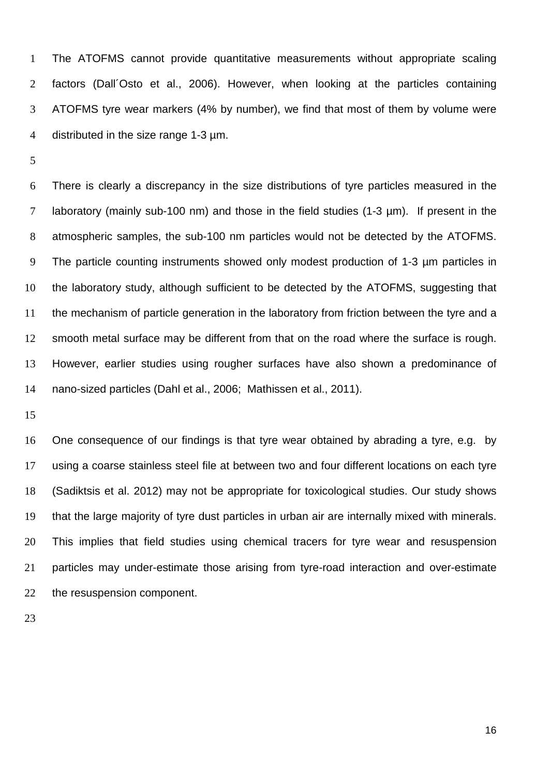The ATOFMS cannot provide quantitative measurements without appropriate scaling factors (Dall´Osto et al., 2006). However, when looking at the particles containing ATOFMS tyre wear markers (4% by number), we find that most of them by volume were distributed in the size range 1-3 µm.

 There is clearly a discrepancy in the size distributions of tyre particles measured in the laboratory (mainly sub-100 nm) and those in the field studies (1-3 µm). If present in the atmospheric samples, the sub-100 nm particles would not be detected by the ATOFMS. The particle counting instruments showed only modest production of 1-3 µm particles in the laboratory study, although sufficient to be detected by the ATOFMS, suggesting that the mechanism of particle generation in the laboratory from friction between the tyre and a smooth metal surface may be different from that on the road where the surface is rough. However, earlier studies using rougher surfaces have also shown a predominance of nano-sized particles (Dahl et al., 2006; Mathissen et al., 2011).

 One consequence of our findings is that tyre wear obtained by abrading a tyre, e.g. by using a coarse stainless steel file at between two and four different locations on each tyre (Sadiktsis et al. 2012) may not be appropriate for toxicological studies. Our study shows that the large majority of tyre dust particles in urban air are internally mixed with minerals. This implies that field studies using chemical tracers for tyre wear and resuspension particles may under-estimate those arising from tyre-road interaction and over-estimate the resuspension component.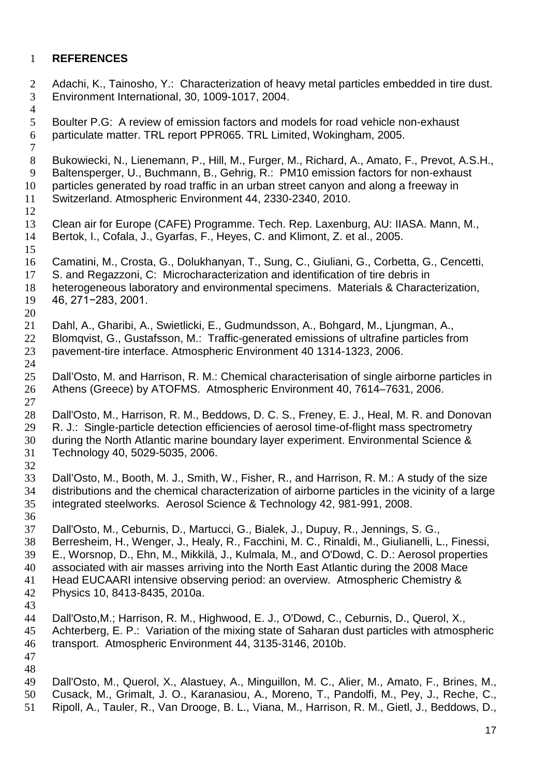### **REFERENCES**

2 Adachi, K., Tainosho, Y.: Characterization of heavy metal particles embedded in tire dust.<br>3 Environment International. 30. 1009-1017. 2004. Environment International, 30, 1009-1017, 2004. Boulter P.G: A review of emission factors and models for road vehicle non-exhaust particulate matter. TRL report PPR065. TRL Limited, Wokingham, 2005. Bukowiecki, N., Lienemann, P., Hill, M., Furger, M., Richard, A., Amato, F., Prevot, A.S.H., Baltensperger, U., Buchmann, B., Gehrig, R.: PM10 emission factors for non-exhaust particles generated by road traffic in an urban street canyon and along a freeway in Switzerland. Atmospheric Environment 44, 2330-2340, 2010. Clean air for Europe (CAFE) Programme. Tech. Rep. Laxenburg, AU: IIASA. Mann, M., Bertok, I., Cofala, J., Gyarfas, F., Heyes, C. and Klimont, Z. et al., 2005. Camatini, M., Crosta, G., Dolukhanyan, T., Sung, C., Giuliani, G., Corbetta, G., Cencetti, S. and Regazzoni, C: Microcharacterization and identification of tire debris in heterogeneous laboratory and environmental specimens. Materials & Characterization, 46, 271−283, 2001. Dahl, A., Gharibi, A., Swietlicki, E., Gudmundsson, A., Bohgard, M., Ljungman, A., 22 Blomqvist, G., Gustafsson, M.: Traffic-generated emissions of ultrafine particles from<br>23 pavement-tire interface. Atmospheric Environment 40 1314-1323, 2006. pavement-tire interface. Atmospheric Environment 40 1314-1323, 2006. Dall'Osto, M. and Harrison, R. M.: Chemical characterisation of single airborne particles in Athens (Greece) by ATOFMS. Atmospheric Environment 40, 7614–7631, 2006. Dall'Osto, M., Harrison, R. M., Beddows, D. C. S., Freney, E. J., Heal, M. R. and Donovan 29 R. J.: Single-particle detection efficiencies of aerosol time-of-flight mass spectrometry<br>20 during the North Atlantic marine boundary layer experiment. Environmental Science & during the North Atlantic marine boundary layer experiment. Environmental Science & Technology 40, 5029-5035, 2006. Dall'Osto, M., Booth, M. J., Smith, W., Fisher, R., and Harrison, R. M.: A study of the size distributions and the chemical characterization of airborne particles in the vicinity of a large integrated steelworks. Aerosol Science & Technology 42, 981-991, 2008. Dall'Osto, M., Ceburnis, D., Martucci, G., Bialek, J., Dupuy, R., Jennings, S. G., Berresheim, H., Wenger, J., Healy, R., Facchini, M. C., Rinaldi, M., Giulianelli, L., Finessi, E., Worsnop, D., Ehn, M., Mikkilä, J., Kulmala, M., and O'Dowd, C. D.: Aerosol properties associated with air masses arriving into the North East Atlantic during the 2008 Mace Head EUCAARI intensive observing period: an overview. Atmospheric Chemistry & Physics 10, 8413-8435, 2010a. Dall'Osto,M.; Harrison, R. M., Highwood, E. J., O'Dowd, C., Ceburnis, D., Querol, X., Achterberg, E. P.: Variation of the mixing state of Saharan dust particles with atmospheric transport. Atmospheric Environment 44, 3135-3146, 2010b. Dall'Osto, M., Querol, X., Alastuey, A., Minguillon, M. C., Alier, M., Amato, F., Brines, M., Cusack, M., Grimalt, J. O., Karanasiou, A., Moreno, T., Pandolfi, M., Pey, J., Reche, C., Ripoll, A., Tauler, R., Van Drooge, B. L., Viana, M., Harrison, R. M., Gietl, J., Beddows, D.,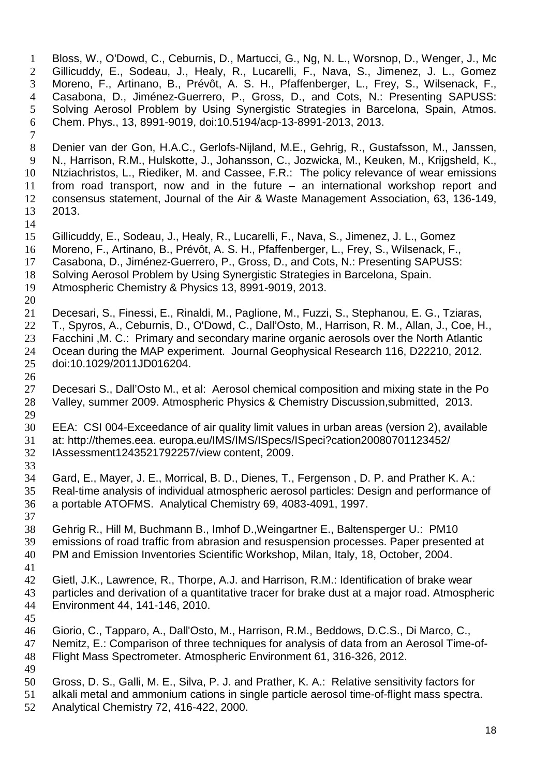Bloss, W., O'Dowd, C., Ceburnis, D., Martucci, G., Ng, N. L., Worsnop, D., Wenger, J., Mc Gillicuddy, E., Sodeau, J., Healy, R., Lucarelli, F., Nava, S., Jimenez, J. L., Gomez Moreno, F., Artinano, B., Prévôt, A. S. H., Pfaffenberger, L., Frey, S., Wilsenack, F., Casabona, D., Jiménez-Guerrero, P., Gross, D., and Cots, N.: Presenting SAPUSS: Solving Aerosol Problem by Using Synergistic Strategies in Barcelona, Spain, Atmos. Chem. Phys., 13, 8991-9019, doi:10.5194/acp-13-8991-2013, 2013. Denier van der Gon, H.A.C., Gerlofs-Nijland, M.E., Gehrig, R., Gustafsson, M., Janssen, N., Harrison, R.M., Hulskotte, J., Johansson, C., Jozwicka, M., Keuken, M., Krijgsheld, K., Ntziachristos, L., Riediker, M. and Cassee, F.R.: The policy relevance of wear emissions from road transport, now and in the future – an international workshop report and consensus statement, Journal of the Air & Waste Management Association, 63, 136-149, 2013. Gillicuddy, E., Sodeau, J., Healy, R., Lucarelli, F., Nava, S., Jimenez, J. L., Gomez Moreno, F., Artinano, B., Prévôt, A. S. H., Pfaffenberger, L., Frey, S., Wilsenack, F., Casabona, D., Jiménez-Guerrero, P., Gross, D., and Cots, N.: Presenting SAPUSS: Solving Aerosol Problem by Using Synergistic Strategies in Barcelona, Spain. Atmospheric Chemistry & Physics 13, 8991-9019, 2013. Decesari, S., Finessi, E., Rinaldi, M., Paglione, M., Fuzzi, S., Stephanou, E. G., Tziaras, T., Spyros, A., Ceburnis, D., O'Dowd, C., Dall'Osto, M., Harrison, R. M., Allan, J., Coe, H., Facchini ,M. C.: Primary and secondary marine organic aerosols over the North Atlantic Ocean during the MAP experiment. Journal Geophysical Research 116, D22210, 2012. doi:10.1029/2011JD016204. Decesari S., Dall'Osto M., et al: Aerosol chemical composition and mixing state in the Po Valley, summer 2009. Atmospheric Physics & Chemistry Discussion,submitted, 2013. 30 EEA: CSI 004-Exceedance of air quality limit values in urban areas (version 2), available 31 at: http://themes.eea. europa.eu/IMS/IMS/ISpecs/ISpeci?cation20080701123452/ at: http://themes.eea. europa.eu/IMS/IMS/ISpecs/ISpeci?cation20080701123452/ IAssessment1243521792257/view content, 2009. Gard, E., Mayer, J. E., Morrical, B. D., Dienes, T., Fergenson , D. P. and Prather K. A.: Real-time analysis of individual atmospheric aerosol particles: Design and performance of a portable ATOFMS. Analytical Chemistry 69, 4083-4091, 1997. Gehrig R., Hill M, Buchmann B., Imhof D.,Weingartner E., Baltensperger U.: PM10 emissions of road traffic from abrasion and resuspension processes. Paper presented at PM and Emission Inventories Scientific Workshop, Milan, Italy, 18, October, 2004. Gietl, J.K., Lawrence, R., Thorpe, A.J. and Harrison, R.M.: Identification of brake wear particles and derivation of a quantitative tracer for brake dust at a major road. Atmospheric Environment 44, 141-146, 2010. Giorio, C., Tapparo, A., Dall'Osto, M., Harrison, R.M., Beddows, D.C.S., Di Marco, C., Nemitz, E.: Comparison of three techniques for analysis of data from an Aerosol Time-of- Flight Mass Spectrometer. Atmospheric Environment 61, 316-326, 2012. Gross, D. S., Galli, M. E., Silva, P. J. and Prather, K. A.: Relative sensitivity factors for alkali metal and ammonium cations in single particle aerosol time-of-flight mass spectra. Analytical Chemistry 72, 416-422, 2000.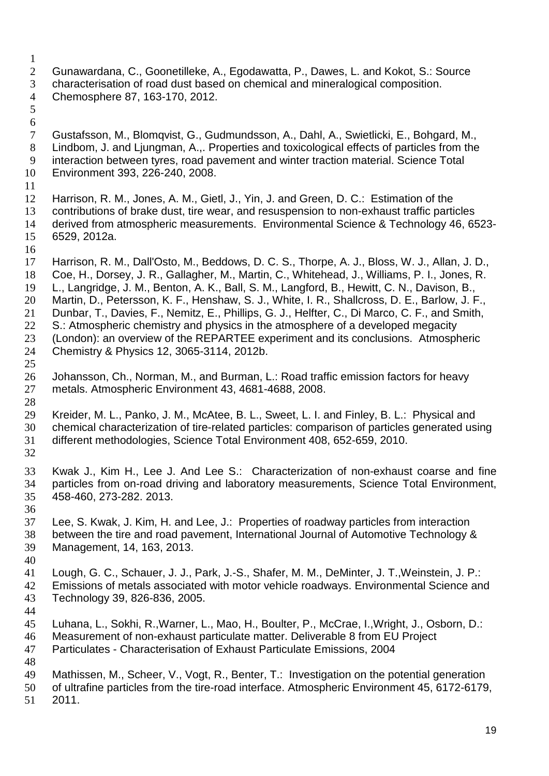- Gunawardana, C., Goonetilleke, A., Egodawatta, P., Dawes, L. and Kokot, S.: Source characterisation of road dust based on chemical and mineralogical composition. Chemosphere 87, 163-170, 2012.
- 

 Gustafsson, M., Blomqvist, G., Gudmundsson, A., Dahl, A., Swietlicki, E., Bohgard, M., Lindbom, J. and Ljungman, A.,. Properties and toxicological effects of particles from the interaction between tyres, road pavement and winter traction material. Science Total Environment 393, 226-240, 2008.

 Harrison, R. M., Jones, A. M., Gietl, J., Yin, J. and Green, D. C.: Estimation of the contributions of brake dust, tire wear, and resuspension to non-exhaust traffic particles derived from atmospheric measurements. Environmental Science & Technology 46, 6523- 6529, 2012a.

Harrison, R. M., Dall'Osto, M., Beddows, D. C. S., Thorpe, A. J., Bloss, W. J., Allan, J. D.,

- Coe, H., Dorsey, J. R., Gallagher, M., Martin, C., Whitehead, J., Williams, P. I., Jones, R.
- L., Langridge, J. M., Benton, A. K., Ball, S. M., Langford, B., Hewitt, C. N., Davison, B.,
- Martin, D., Petersson, K. F., Henshaw, S. J., White, I. R., Shallcross, D. E., Barlow, J. F.,
- Dunbar, T., Davies, F., Nemitz, E., Phillips, G. J., Helfter, C., Di Marco, C. F., and Smith, 22 S.: Atmospheric chemistry and physics in the atmosphere of a developed megacity
- (London): an overview of the REPARTEE experiment and its conclusions. Atmospheric
- Chemistry & Physics 12, 3065-3114, 2012b.
- 
- 26 Johansson, Ch., Norman, M., and Burman, L.: Road traffic emission factors for heavy<br>27 metals. Atmospheric Environment 43, 4681-4688, 2008. metals. Atmospheric Environment 43, 4681-4688, 2008.
- 
- Kreider, M. L., Panko, J. M., McAtee, B. L., Sweet, L. I. and Finley, B. L.: Physical and chemical characterization of tire-related particles: comparison of particles generated using different methodologies, Science Total Environment 408, 652-659, 2010.
- 

 Kwak J., Kim H., Lee J. And Lee S.: Characterization of non-exhaust coarse and fine particles from on-road driving and laboratory measurements, Science Total Environment, 458-460, 273-282. 2013.

36<br>37

Lee, S. Kwak, J. Kim, H. and Lee, J.: Properties of roadway particles from interaction between the tire and road pavement, International Journal of Automotive Technology & Management, 14, 163, 2013.

 Lough, G. C., Schauer, J. J., Park, J.-S., Shafer, M. M., DeMinter, J. T.,Weinstein, J. P.: Emissions of metals associated with motor vehicle roadways. Environmental Science and Technology 39, 826-836, 2005.

Luhana, L., Sokhi, R.,Warner, L., Mao, H., Boulter, P., McCrae, I.,Wright, J., Osborn, D.:

- Measurement of non-exhaust particulate matter. Deliverable 8 from EU Project
- Particulates Characterisation of Exhaust Particulate Emissions, 2004
- Mathissen, M., Scheer, V., Vogt, R., Benter, T.: Investigation on the potential generation
- of ultrafine particles from the tire-road interface. Atmospheric Environment 45, 6172-6179,
- 2011.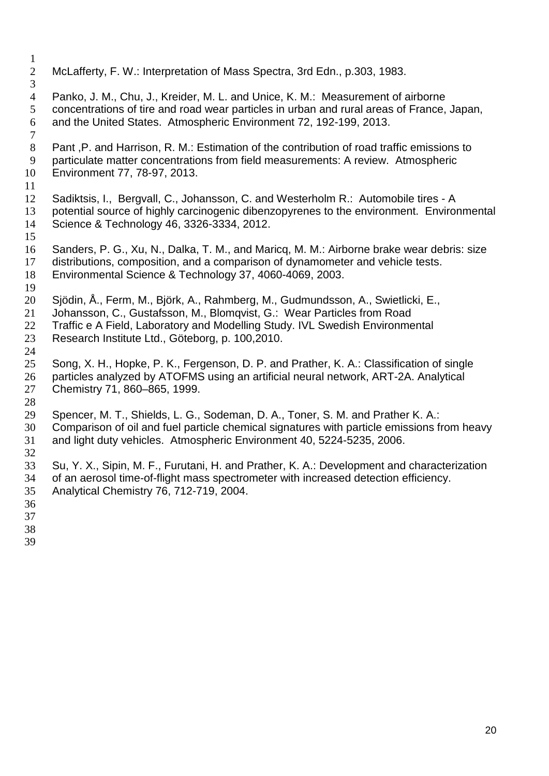- McLafferty, F. W.: Interpretation of Mass Spectra, 3rd Edn., p.303, 1983.
- Panko, J. M., Chu, J., Kreider, M. L. and Unice, K. M.: Measurement of airborne concentrations of tire and road wear particles in urban and rural areas of France, Japan, and the United States. Atmospheric Environment 72, 192-199, 2013.
- 
- 8 Pant , P. and Harrison, R. M.: Estimation of the contribution of road traffic emissions to particulate matter concentrations from field measurements: A review. Atmospheric Environment 77, 78-97, 2013.
- 
- Sadiktsis, I., Bergvall, C., Johansson, C. and Westerholm R.: Automobile tires A potential source of highly carcinogenic dibenzopyrenes to the environment. Environmental Science & Technology 46, 3326-3334, 2012.
- Sanders, P. G., Xu, N., Dalka, T. M., and Maricq, M. M.: Airborne brake wear debris: size distributions, composition, and a comparison of dynamometer and vehicle tests. Environmental Science & Technology 37, 4060-4069, 2003.
- Sjödin, Å., Ferm, M., Björk, A., Rahmberg, M., Gudmundsson, A., Swietlicki, E.,
- Johansson, C., Gustafsson, M., Blomqvist, G.: Wear Particles from Road
- 22 Traffic e A Field, Laboratory and Modelling Study. IVL Swedish Environmental<br>23 Research Institute Ltd., Göteborg, p. 100,2010.
- Research Institute Ltd., Göteborg, p. 100,2010.
- Song, X. H., Hopke, P. K., Fergenson, D. P. and Prather, K. A.: Classification of single particles analyzed by ATOFMS using an artificial neural network, ART-2A. Analytical Chemistry 71, 860–865, 1999.
- Spencer, M. T., Shields, L. G., Sodeman, D. A., Toner, S. M. and Prather K. A.:
- 30 Comparison of oil and fuel particle chemical signatures with particle emissions from heavy<br>31 and light duty vehicles. Atmospheric Environment 40, 5224-5235, 2006.
- and light duty vehicles. Atmospheric Environment 40, 5224-5235, 2006.
- Su, Y. X., Sipin, M. F., Furutani, H. and Prather, K. A.: Development and characterization of an aerosol time-of-flight mass spectrometer with increased detection efficiency. Analytical Chemistry 76, 712-719, 2004.
- 
- 
- 
-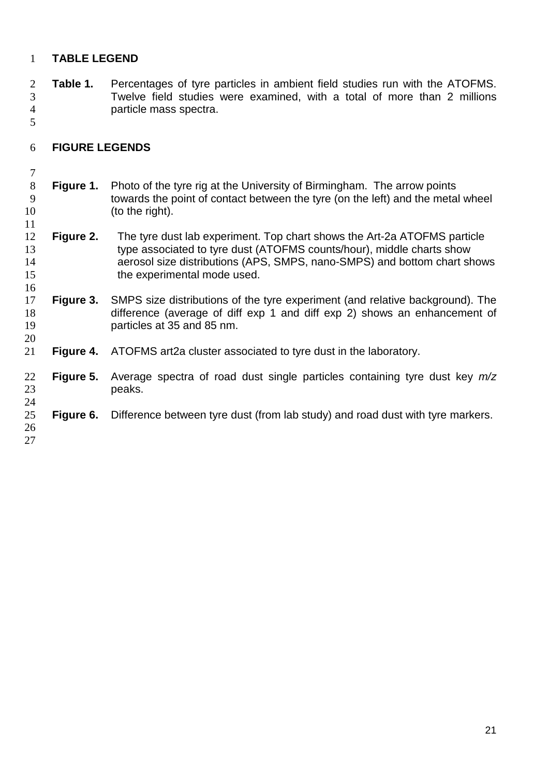#### **TABLE LEGEND**

2 **Table 1.** Percentages of tyre particles in ambient field studies run with the ATOFMS.<br>3 Twelve field studies were examined, with a total of more than 2 millions Twelve field studies were examined, with a total of more than 2 millions particle mass spectra.

#### **FIGURE LEGENDS**

- 8 **Figure 1.** Photo of the tyre rig at the University of Birmingham. The arrow points towards the point of contact between the tyre (on the left) and the metal towards the point of contact between the tyre (on the left) and the metal wheel (to the right).
- 12 **Figure 2.** The tyre dust lab experiment. Top chart shows the Art-2a ATOFMS particle<br>13 type associated to tyre dust (ATOFMS counts/hour), middle charts show type associated to tyre dust (ATOFMS counts/hour), middle charts show aerosol size distributions (APS, SMPS, nano-SMPS) and bottom chart shows 15 the experimental mode used.
- **Figure 3.** SMPS size distributions of the tyre experiment (and relative background). The difference (average of diffexp 1 and diffexp 2) shows an enhancement of difference (average of diff exp 1 and diff exp 2) shows an enhancement of particles at 35 and 85 nm.
- **Figure 4.** ATOFMS art2a cluster associated to tyre dust in the laboratory.
- **Figure 5.** Average spectra of road dust single particles containing tyre dust key *m/z* peaks.

#### **Figure 6.** Difference between tyre dust (from lab study) and road dust with tyre markers.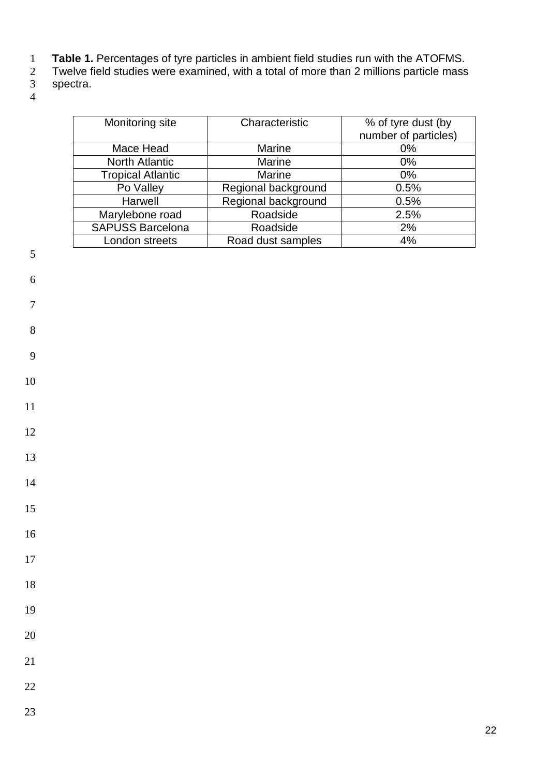- **Table 1.** Percentages of tyre particles in ambient field studies run with the ATOFMS.
- Twelve field studies were examined, with a total of more than 2 millions particle mass
- spectra.  $\begin{array}{c} 2 \\ 3 \\ 4 \end{array}$
- 

| Monitoring site          | Characteristic      | % of tyre dust (by<br>number of particles) |
|--------------------------|---------------------|--------------------------------------------|
| Mace Head                | <b>Marine</b>       | 0%                                         |
| <b>North Atlantic</b>    | <b>Marine</b>       | $0\%$                                      |
| <b>Tropical Atlantic</b> | <b>Marine</b>       | $0\%$                                      |
| Po Valley                | Regional background | 0.5%                                       |
| Harwell                  | Regional background | 0.5%                                       |
| Marylebone road          | Roadside            | 2.5%                                       |
| <b>SAPUSS Barcelona</b>  | Roadside            | 2%                                         |
| London streets           | Road dust samples   | 4%                                         |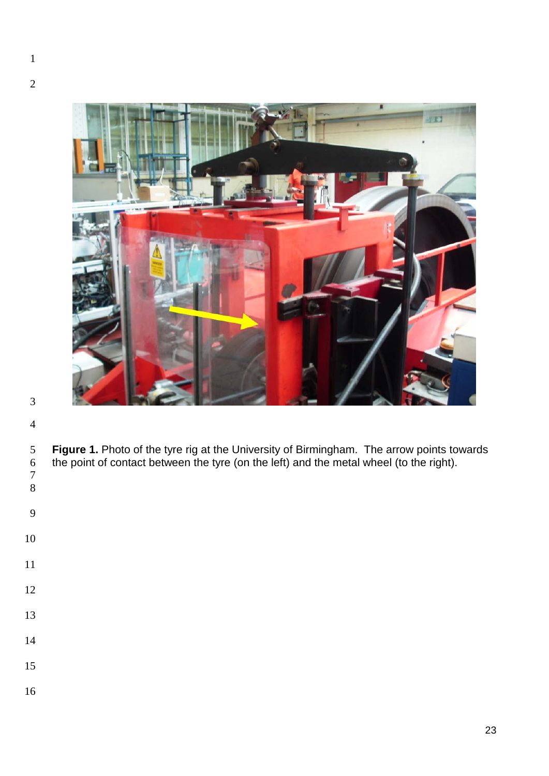

**Figure 1.** Photo of the tyre rig at the University of Birmingham. The arrow points towards the point of contact between the tyre (on the left) and the metal wheel (to the right). for the point of contact between the tyre (on the left) and the metal wheel (to the right). 

| ×                |  |
|------------------|--|
| ×<br>ë<br>۹<br>× |  |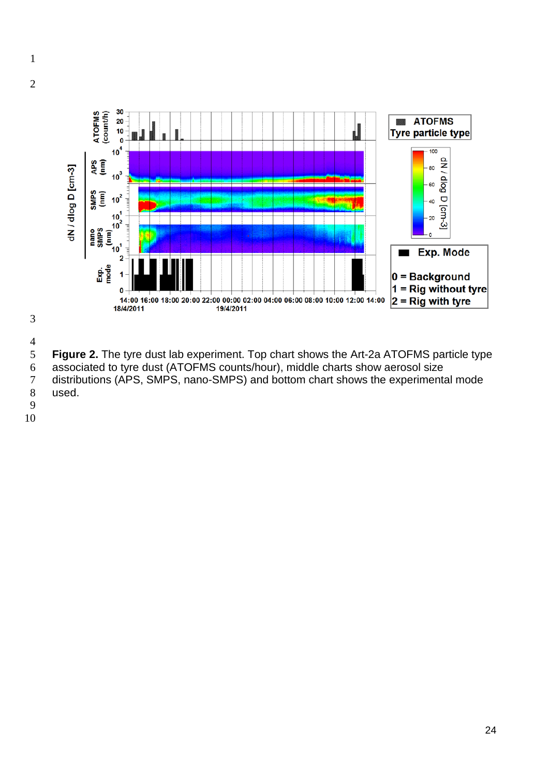

- $\frac{4}{5}$ **Figure 2.** The tyre dust lab experiment. Top chart shows the Art-2a ATOFMS particle type
- 6 associated to tyre dust (ATOFMS counts/hour), middle charts show aerosol size<br>7 distributions (APS, SMPS, nano-SMPS) and bottom chart shows the experimenta distributions (APS, SMPS, nano-SMPS) and bottom chart shows the experimental mode
- used.
- 
-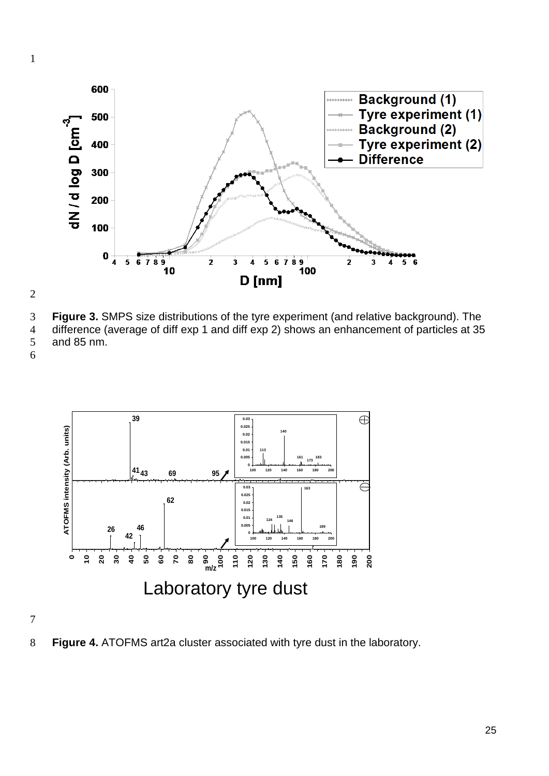

 **Figure 3.** SMPS size distributions of the tyre experiment (and relative background). The difference (average of diff exp 1 and diff exp 2) shows an enhancement of particles at 35 and 85 nm.



**Figure 4.** ATOFMS art2a cluster associated with tyre dust in the laboratory.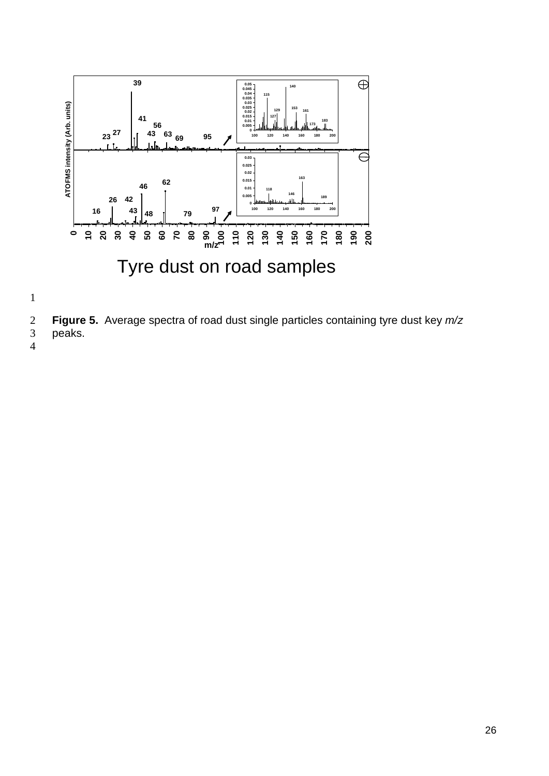



**Figure 5.** Average spectra of road dust single particles containing tyre dust key *m/z*

- peaks.  $\frac{1}{3}$
-